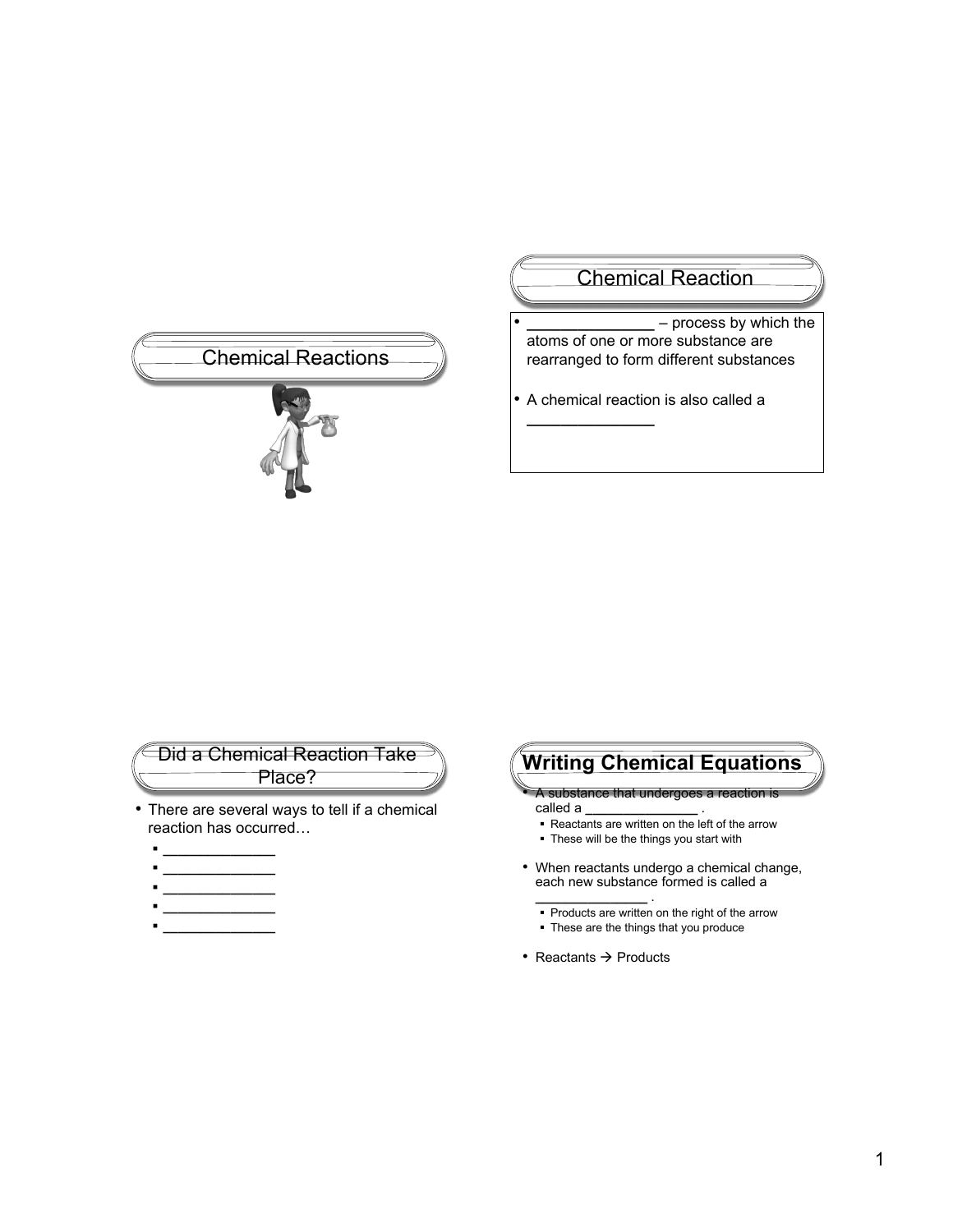# Chemical Reactions

# Chemical Reaction

- **\_\_\_\_\_\_\_\_\_\_\_\_\_\_\_** process by which the atoms of one or more substance are rearranged to form different substances
- A chemical reaction is also called a

**\_\_\_\_\_\_\_\_\_\_\_\_\_\_\_**

## Did a Chemical Reaction Take Place?

- There are several ways to tell if a chemical reaction has occurred…
	- **\_\_\_\_\_\_\_\_\_\_\_\_\_\_\_**
	- **\_\_\_\_\_\_\_\_\_\_\_\_\_\_\_**
	- **\_\_\_\_\_\_\_\_\_\_\_\_\_\_\_**
	- **\_\_\_\_\_\_\_\_\_\_\_\_\_\_\_**

# **Writing Chemical Equations**

- A substance that undergoes a reaction is called a **\_\_\_\_\_\_\_\_\_\_\_\_\_\_\_** .
- Reactants are written on the left of the arrow
- These will be the things you start with
- When reactants undergo a chemical change, each new substance formed is called a
	- **\_\_\_\_\_\_\_\_\_\_\_\_\_\_\_** . • Products are written on the right of the arrow
	- These are the things that you produce
- Reactants  $\rightarrow$  Products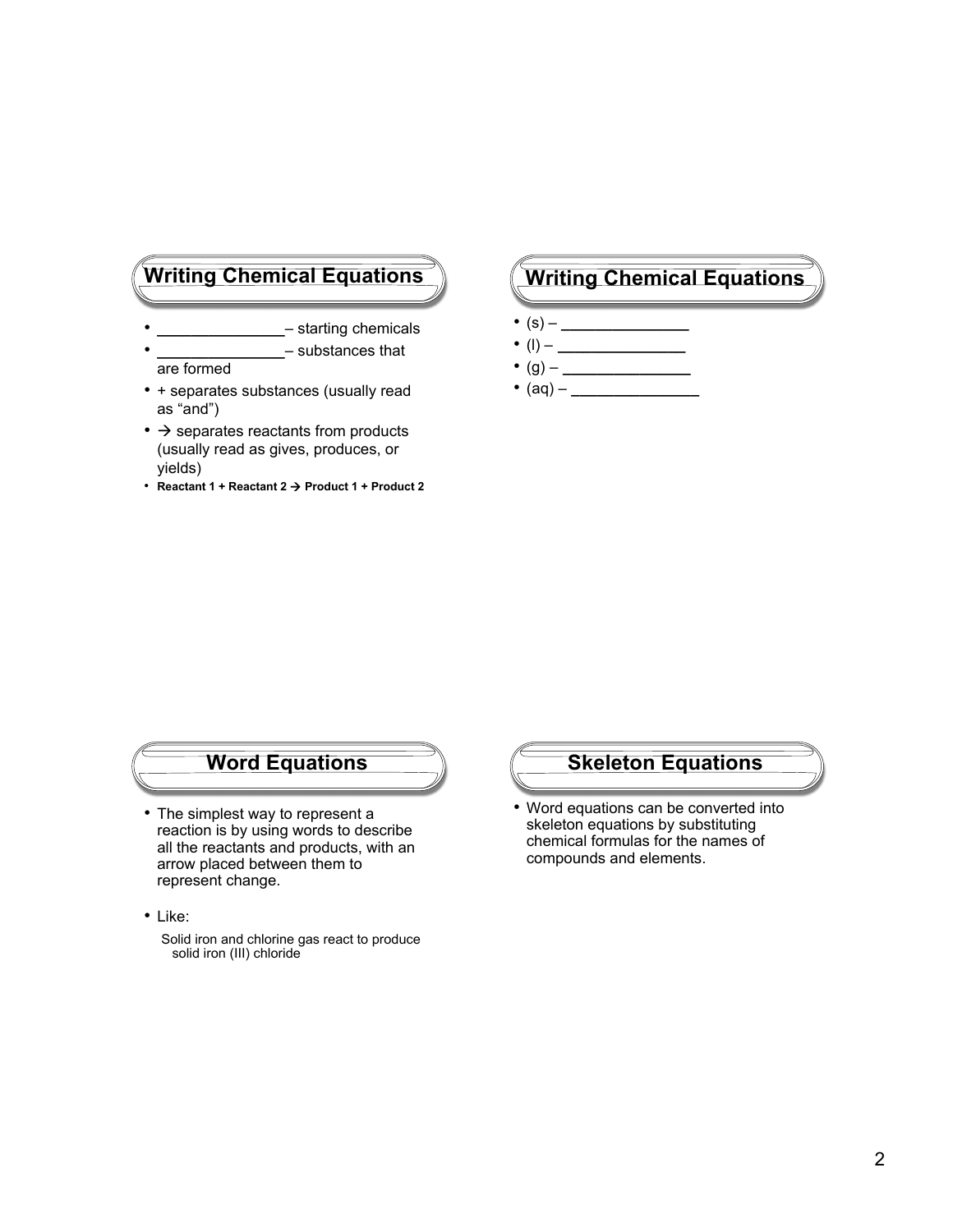- **\_\_\_\_\_\_\_\_\_\_\_\_\_\_\_** starting chemicals
- **\_\_\_\_\_\_\_\_\_\_\_\_\_\_\_** substances that are formed
- + separates substances (usually read as "and")
- $\bullet$   $\rightarrow$  separates reactants from products (usually read as gives, produces, or yields)
- **Reactant 1 + Reactant 2 Product 1 + Product 2**

# **Writing Chemical Equations Writing Chemical Equations**

- (s) **\_\_\_\_\_\_\_\_\_\_\_\_\_\_\_**
- (l) **\_\_\_\_\_\_\_\_\_\_\_\_\_\_\_**
- (g) **\_\_\_\_\_\_\_\_\_\_\_\_\_\_\_**
- $(aq)$   $\qquad \qquad$

# **Word Equations**

- The simplest way to represent a reaction is by using words to describe all the reactants and products, with an arrow placed between them to represent change.
- Like:

Solid iron and chlorine gas react to produce solid iron (III) chloride

## **Skeleton Equations**

• Word equations can be converted into skeleton equations by substituting chemical formulas for the names of compounds and elements.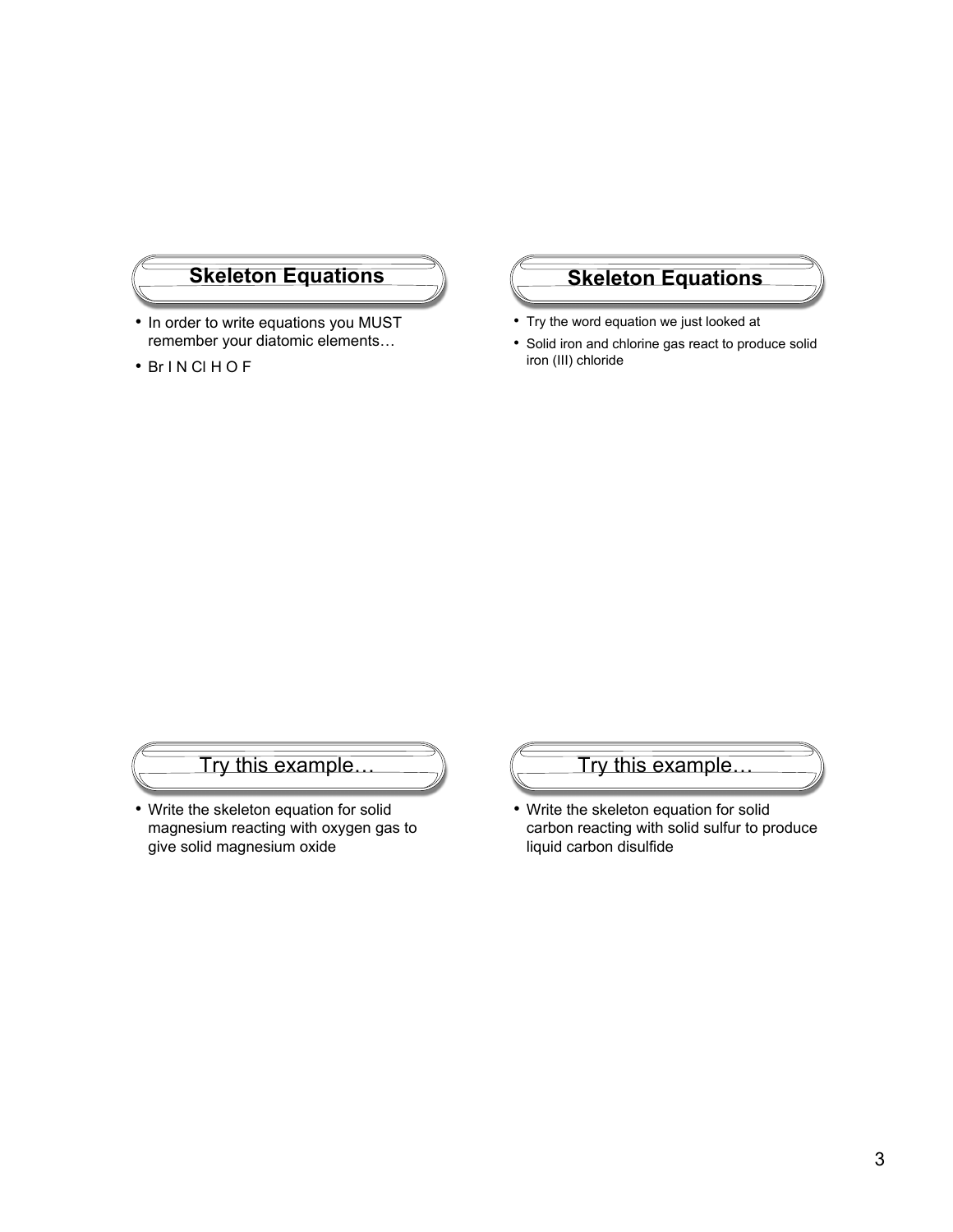- In order to write equations you MUST remember your diatomic elements…
- Br I N Cl H O F

# **Skeleton Equations Skeleton Equations**

- Try the word equation we just looked at
- Solid iron and chlorine gas react to produce solid iron (III) chloride

# Try this example…

• Write the skeleton equation for solid magnesium reacting with oxygen gas to give solid magnesium oxide



• Write the skeleton equation for solid carbon reacting with solid sulfur to produce liquid carbon disulfide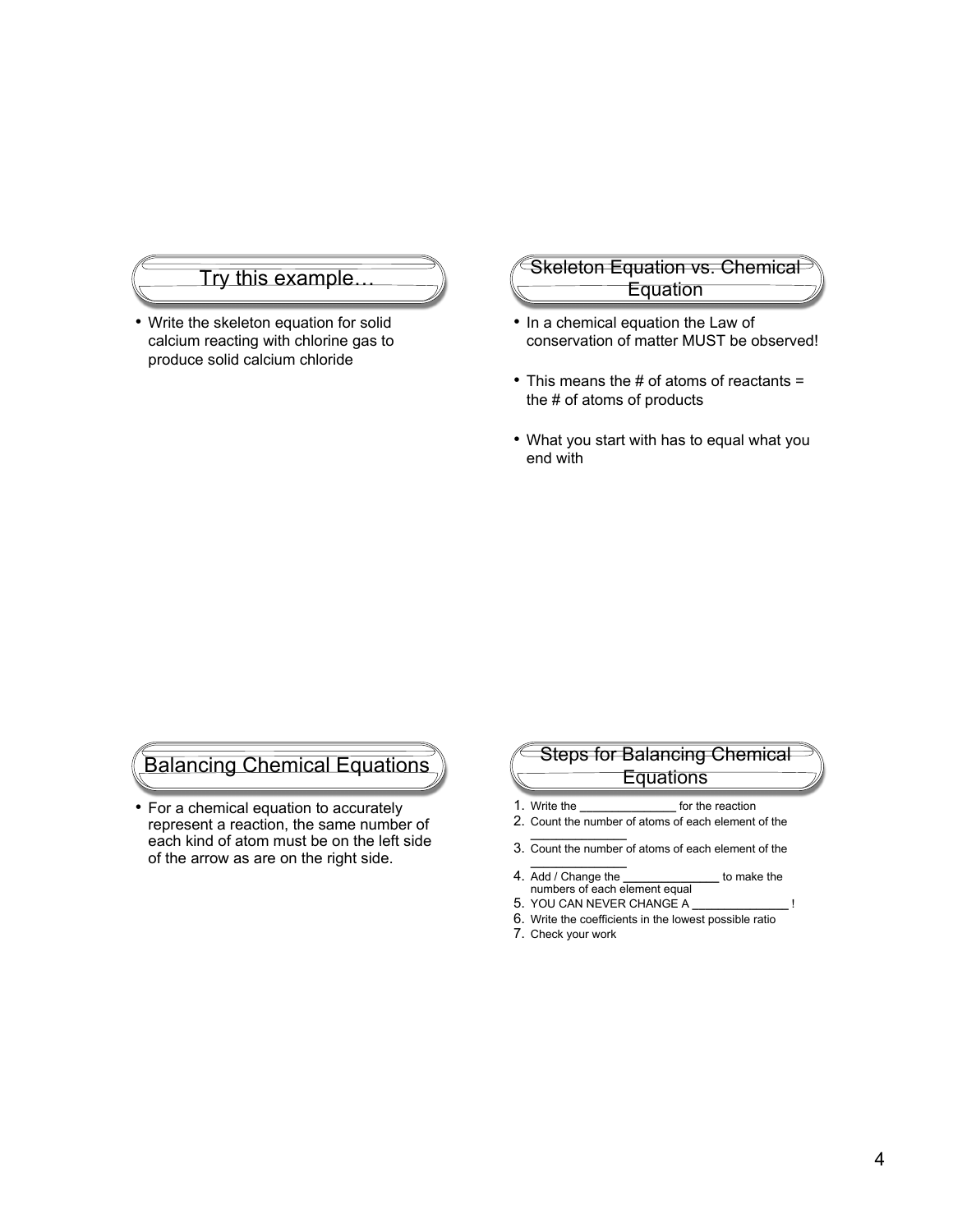#### Try this example

• Write the skeleton equation for solid calcium reacting with chlorine gas to produce solid calcium chloride

## Skeleton Equation vs. Chemical **Equation**

- In a chemical equation the Law of conservation of matter MUST be observed!
- This means the # of atoms of reactants = the # of atoms of products
- What you start with has to equal what you end with

# Balancing Chemical Equations

• For a chemical equation to accurately represent a reaction, the same number of each kind of atom must be on the left side of the arrow as are on the right side.

# Steps for Balancing Chemical **Equations**

- 1. Write the **\_\_\_\_\_\_\_\_\_\_\_\_\_\_\_** for the reaction
- 2. Count the number of atoms of each element of the **\_\_\_\_\_\_\_\_\_\_\_\_\_\_\_**
- 3. Count the number of atoms of each element of the
- **\_\_\_\_\_\_\_\_\_\_\_\_\_\_\_** 4. Add / Change the **\_\_\_\_\_\_\_\_\_\_\_\_\_\_\_** to make the numbers of each element equal
- 5. YOU CAN NEVER CHANGE A **\_\_\_\_\_\_\_\_\_\_\_\_\_\_\_** !
- 6. Write the coefficients in the lowest possible ratio
- 7. Check your work